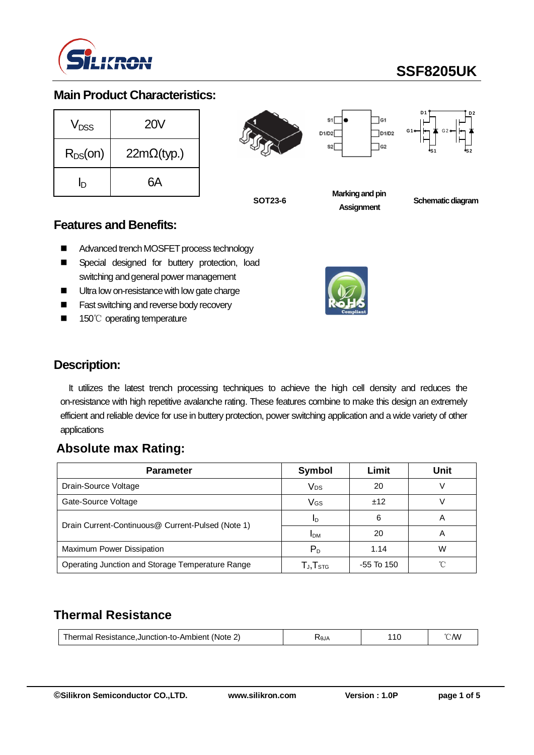

# **SSF8205UK**

**D 2**

 $\frac{1}{\sqrt{2}}$ 

### **Main Product Characteristics:**

| V <sub>DSS</sub> | <b>20V</b>         |  |  |
|------------------|--------------------|--|--|
| $R_{DS}(on)$     | $22m\Omega$ (typ.) |  |  |
| In               | 6А                 |  |  |



**SOT23-6**

**Marking and pin Assignment**

**Schematic diagram** 

#### **Features and Benefits:**

- Advanced trench MOSFET process technology
- **E** Special designed for buttery protection, load switching and general power management
- Ultra low on-resistance with low gate charge
- Fast switching and reverse body recovery
- 150℃ operating temperature



### **Description:**

It utilizes the latest trench processing techniques to achieve the high cell density and reduces the on-resistance with high repetitive avalanche rating. These features combine to make this design an extremely efficient and reliable device for use in buttery protection, power switching application and a wide variety of other applications

### **Absolute max Rating:**

| <b>Parameter</b>                                  | Symbol                                               | Limit      | Unit |
|---------------------------------------------------|------------------------------------------------------|------------|------|
| Drain-Source Voltage                              | Vps                                                  | 20         |      |
| Gate-Source Voltage                               | VGs                                                  | ±12        |      |
| Drain Current-Continuous@ Current-Pulsed (Note 1) | ID                                                   | 6          | A    |
|                                                   | <b>IDM</b>                                           | 20         | A    |
| Maximum Power Dissipation                         | $P_D$                                                | 1.14       | W    |
| Operating Junction and Storage Temperature Range  | $\mathsf{T}_{\mathsf{J}}, \mathsf{T}_{\textsf{STG}}$ | -55 To 150 |      |

# **Thermal Resistance**

| Resistance.Junction-to-Ambient<br>hermal<br>(Note | AlθZ | . 47<br>п. | /V) |
|---------------------------------------------------|------|------------|-----|
|---------------------------------------------------|------|------------|-----|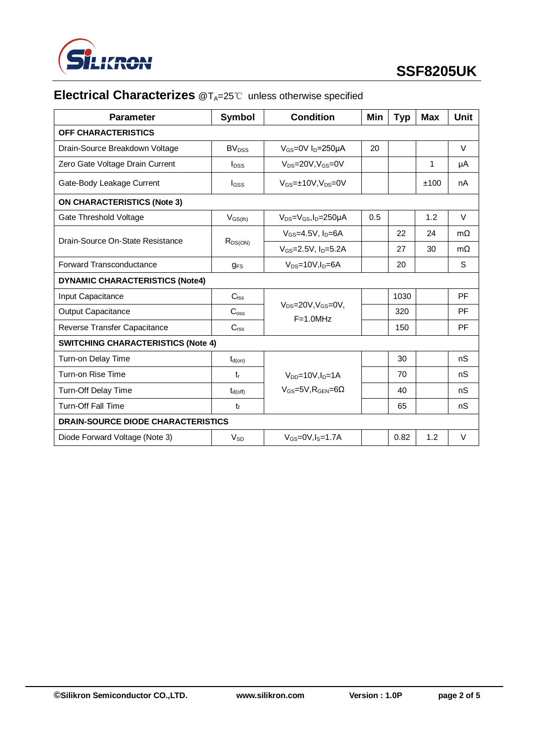

# **Electrical Characterizes** @T<sub>A</sub>=25℃ unless otherwise specified

| <b>Parameter</b>                          | Symbol                   | <b>Condition</b>                                   | Min | <b>Typ</b> | Max          | Unit      |  |
|-------------------------------------------|--------------------------|----------------------------------------------------|-----|------------|--------------|-----------|--|
| <b>OFF CHARACTERISTICS</b>                |                          |                                                    |     |            |              |           |  |
| Drain-Source Breakdown Voltage            | <b>BV</b> <sub>DSS</sub> | $V_{GS}$ =0V $I_D$ =250µA                          | 20  |            |              | V         |  |
| Zero Gate Voltage Drain Current           | $I_{DSS}$                | $V_{DS} = 20V$ , $V_{GS} = 0V$                     |     |            | $\mathbf{1}$ | μA        |  |
| Gate-Body Leakage Current                 | lgss                     | $V_{GS} = \pm 10V$ , $V_{DS} = 0V$                 |     |            | ±100         | nA        |  |
| <b>ON CHARACTERISTICS (Note 3)</b>        |                          |                                                    |     |            |              |           |  |
| Gate Threshold Voltage                    | $V_{GS(th)}$             | $V_{DS}=V_{GS}I_D=250\mu A$                        | 0.5 |            | 1.2          | $\vee$    |  |
| Drain-Source On-State Resistance          | R <sub>DS(ON)</sub>      | $V_{GS}=4.5V$ , $I_D=6A$                           |     | 22         | 24           | $m\Omega$ |  |
|                                           |                          | $V_{GS} = 2.5V$ , $I_D = 5.2A$                     |     | 27         | 30           | $m\Omega$ |  |
| Forward Transconductance                  | $q_{FS}$                 | $V_{DS} = 10V$ , $I_D = 6A$                        |     | 20         |              | S         |  |
| <b>DYNAMIC CHARACTERISTICS (Note4)</b>    |                          |                                                    |     |            |              |           |  |
| Input Capacitance                         | C <sub>lss</sub>         |                                                    |     | 1030       |              | PF        |  |
| <b>Output Capacitance</b>                 | C <sub>oss</sub>         | $V_{DS}$ =20V, $V_{GS}$ =0V,<br>$F=1.0MHz$         |     | 320        |              | PF        |  |
| Reverse Transfer Capacitance              | C <sub>rss</sub>         |                                                    |     | 150        |              | PF        |  |
| <b>SWITCHING CHARACTERISTICS (Note 4)</b> |                          |                                                    |     |            |              |           |  |
| Turn-on Delay Time                        | $t_{d(on)}$              |                                                    |     | 30         |              | nS        |  |
| Turn-on Rise Time                         | $t_{r}$                  | $V_{DD} = 10V$ , $I_D = 1A$                        |     | 70         |              | nS        |  |
| Turn-Off Delay Time                       | $t_{d(off)}$             | $V$ <sub>GS</sub> =5V.R <sub>GFN</sub> =6 $\Omega$ |     | 40         |              | nS        |  |
| <b>Turn-Off Fall Time</b>                 | $t_{\rm f}$              |                                                    |     | 65         |              | nS        |  |
| <b>DRAIN-SOURCE DIODE CHARACTERISTICS</b> |                          |                                                    |     |            |              |           |  |
| Diode Forward Voltage (Note 3)            | <b>V<sub>sn</sub></b>    | $V_{GS}=0V$ , $I_S=1.7A$                           |     | 0.82       | 1.2          | V         |  |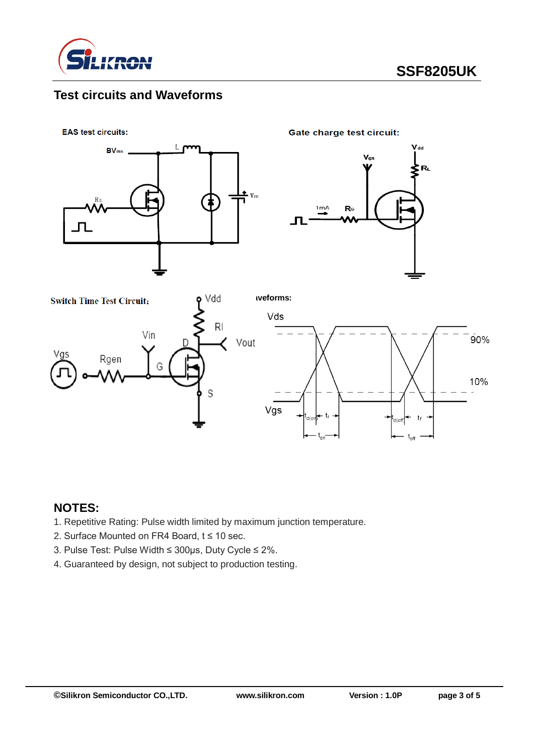

# **Test circuits and Waveforms**





### **NOTES:**

- 1. Repetitive Rating: Pulse width limited by maximum junction temperature.
- 2. Surface Mounted on FR4 Board, t ≤ 10 sec.
- 3. Pulse Test: Pulse Width ≤ 300μs, Duty Cycle ≤ 2%.
- 4. Guaranteed by design, not subject to production testing.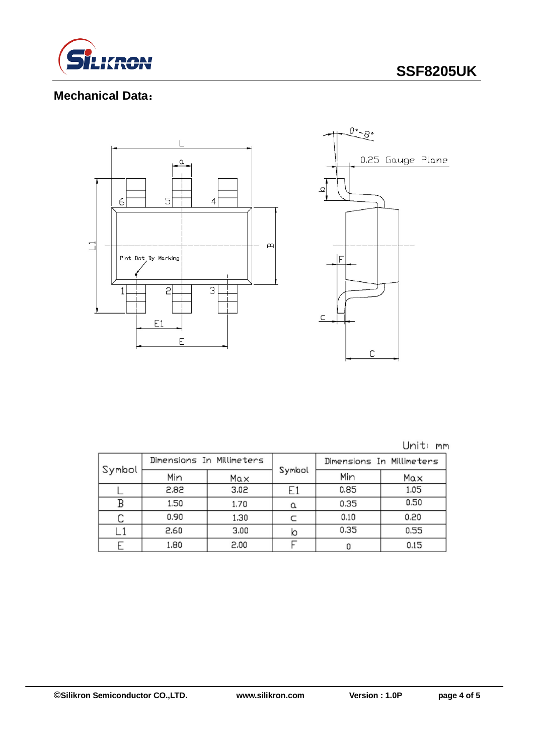

# **SSF8205UK**

## **Mechanical Data**:



Unit: mm

| Symbol | Dimensions In Millimeters |      |        | Dimensions In Millimeters |      |  |
|--------|---------------------------|------|--------|---------------------------|------|--|
|        | Min                       | Max  | Symbol | Min                       | Max  |  |
|        | 2.82                      | 3.02 |        | 0.85                      | 1.05 |  |
|        | 1.50                      | 1.70 |        | 0.35                      | 0.50 |  |
|        | 0.90                      | 1.30 |        | 0.10                      | 0.20 |  |
|        | 2.60                      | 3.00 | ю      | 0.35                      | 0.55 |  |
|        | 1.80                      | 2.00 |        |                           | 0.15 |  |